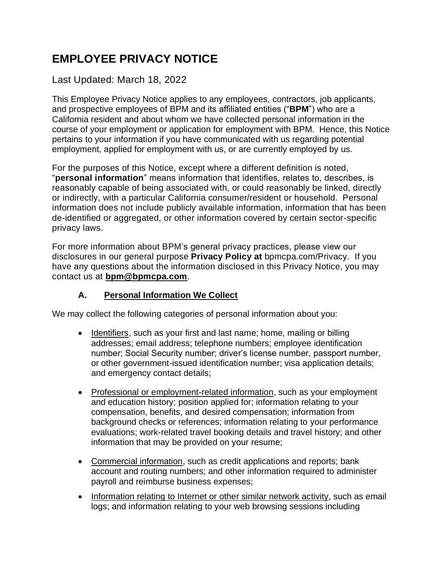# **EMPLOYEE PRIVACY NOTICE**

### Last Updated: March 18, 2022

This Employee Privacy Notice applies to any employees, contractors, job applicants, and prospective employees of BPM and its affiliated entities ("**BPM**") who are a California resident and about whom we have collected personal information in the course of your employment or application for employment with BPM. Hence, this Notice pertains to your information if you have communicated with us regarding potential employment, applied for employment with us, or are currently employed by us.

For the purposes of this Notice, except where a different definition is noted, "**personal information**" means information that identifies, relates to, describes, is reasonably capable of being associated with, or could reasonably be linked, directly or indirectly, with a particular California consumer/resident or household. Personal information does not include publicly available information, information that has been de-identified or aggregated, or other information covered by certain sector-specific privacy laws.

For more information about BPM's general privacy practices, please view our disclosures in our general purpose **Privacy Policy at** bpmcpa.com/Privacy. If you have any questions about the information disclosed in this Privacy Notice, you may contact us at **bpm@bpmcpa.com**.

#### **A. Personal Information We Collect**

We may collect the following categories of personal information about you:

- Identifiers, such as your first and last name; home, mailing or billing addresses; email address; telephone numbers; employee identification number; Social Security number; driver's license number, passport number, or other government-issued identification number; visa application details; and emergency contact details;
- Professional or employment-related information, such as your employment and education history; position applied for; information relating to your compensation, benefits, and desired compensation; information from background checks or references; information relating to your performance evaluations; work-related travel booking details and travel history; and other information that may be provided on your resume;
- Commercial information, such as credit applications and reports: bank account and routing numbers; and other information required to administer payroll and reimburse business expenses;
- Information relating to Internet or other similar network activity, such as email logs; and information relating to your web browsing sessions including